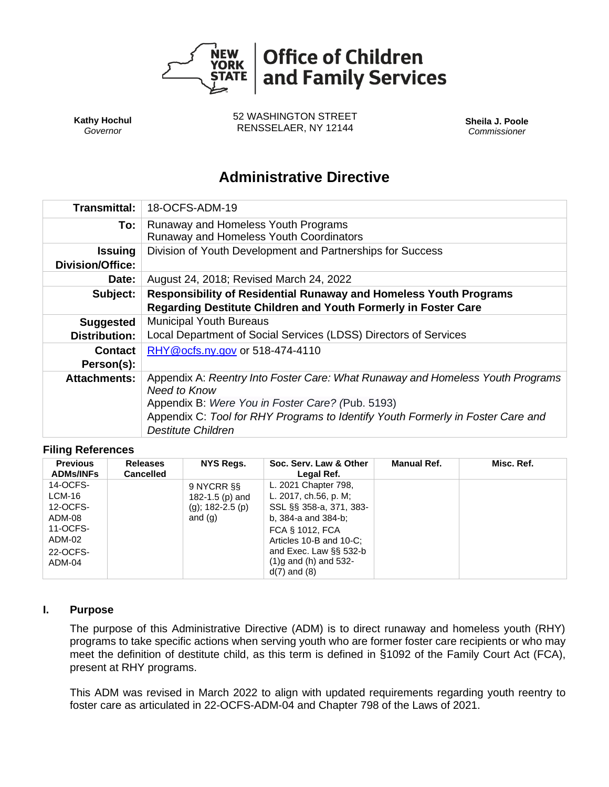

**Kathy Hochul** *Governor*

52 WASHINGTON STREET RENSSELAER, NY 12144 **Sheila J. Poole**

*Commissioner*

# **Administrative Directive**

| Transmittal:                              | 18-OCFS-ADM-19                                                                                                                                                                                                                                                     |  |  |  |  |
|-------------------------------------------|--------------------------------------------------------------------------------------------------------------------------------------------------------------------------------------------------------------------------------------------------------------------|--|--|--|--|
| To:                                       | Runaway and Homeless Youth Programs<br>Runaway and Homeless Youth Coordinators                                                                                                                                                                                     |  |  |  |  |
| <b>Issuing</b><br><b>Division/Office:</b> | Division of Youth Development and Partnerships for Success                                                                                                                                                                                                         |  |  |  |  |
| Date:                                     | August 24, 2018; Revised March 24, 2022                                                                                                                                                                                                                            |  |  |  |  |
| Subject:                                  | <b>Responsibility of Residential Runaway and Homeless Youth Programs</b><br>Regarding Destitute Children and Youth Formerly in Foster Care                                                                                                                         |  |  |  |  |
| <b>Suggested</b>                          | <b>Municipal Youth Bureaus</b>                                                                                                                                                                                                                                     |  |  |  |  |
| <b>Distribution:</b>                      | Local Department of Social Services (LDSS) Directors of Services                                                                                                                                                                                                   |  |  |  |  |
| <b>Contact</b>                            | RHY@ocfs.ny.gov or 518-474-4110                                                                                                                                                                                                                                    |  |  |  |  |
| Person(s):                                |                                                                                                                                                                                                                                                                    |  |  |  |  |
| <b>Attachments:</b>                       | Appendix A: Reentry Into Foster Care: What Runaway and Homeless Youth Programs<br>Need to Know<br>Appendix B: Were You in Foster Care? (Pub. 5193)<br>Appendix C: Tool for RHY Programs to Identify Youth Formerly in Foster Care and<br><b>Destitute Children</b> |  |  |  |  |

#### **Filing References**

| <b>Previous</b><br><b>ADMs/INFs</b> | <b>Releases</b><br><b>Cancelled</b> | NYS Regs.                                                 | Soc. Serv. Law & Other<br>Legal Ref.                                     | Manual Ref. | Misc. Ref. |
|-------------------------------------|-------------------------------------|-----------------------------------------------------------|--------------------------------------------------------------------------|-------------|------------|
| 14-OCFS-<br>$LCM-16$<br>12-OCFS-    |                                     | 9 NYCRR SS<br>182-1.5 ( $p$ ) and<br>(g); $182 - 2.5$ (p) | L. 2021 Chapter 798,<br>L. 2017, ch.56, p. M;<br>SSL §§ 358-a, 371, 383- |             |            |
| ADM-08<br>11-OCFS-<br>ADM-02        |                                     | and $(q)$                                                 | b, 384-a and 384-b;<br>FCA § 1012, FCA<br>Articles 10-B and 10-C;        |             |            |
| 22-OCFS-<br>ADM-04                  |                                     |                                                           | and Exec. Law §§ 532-b<br>$(1)$ g and $(h)$ and 532-<br>$d(7)$ and $(8)$ |             |            |

#### **I. Purpose**

The purpose of this Administrative Directive (ADM) is to direct runaway and homeless youth (RHY) programs to take specific actions when serving youth who are former foster care recipients or who may meet the definition of destitute child, as this term is defined in §1092 of the Family Court Act (FCA), present at RHY programs.

This ADM was revised in March 2022 to align with updated requirements regarding youth reentry to foster care as articulated in 22-OCFS-ADM-04 and Chapter 798 of the Laws of 2021.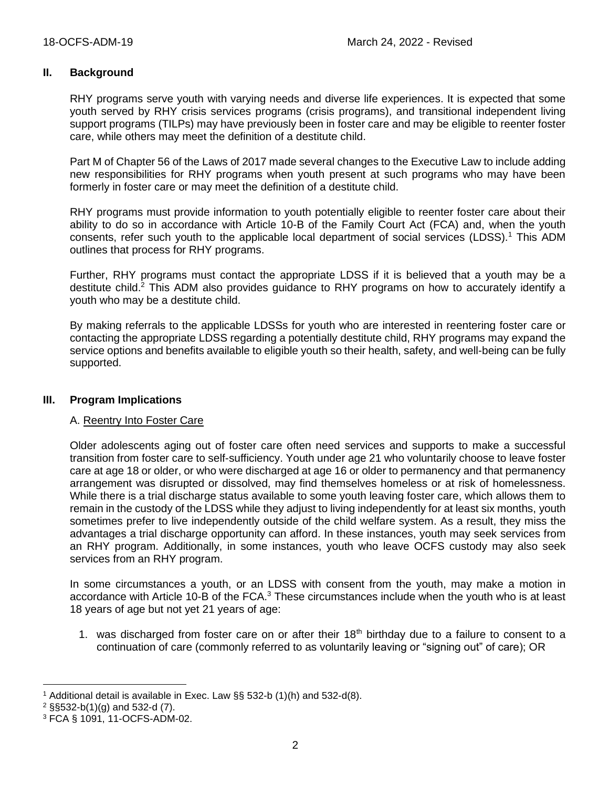### **II. Background**

RHY programs serve youth with varying needs and diverse life experiences. It is expected that some youth served by RHY crisis services programs (crisis programs), and transitional independent living support programs (TILPs) may have previously been in foster care and may be eligible to reenter foster care, while others may meet the definition of a destitute child.

Part M of Chapter 56 of the Laws of 2017 made several changes to the Executive Law to include adding new responsibilities for RHY programs when youth present at such programs who may have been formerly in foster care or may meet the definition of a destitute child.

RHY programs must provide information to youth potentially eligible to reenter foster care about their ability to do so in accordance with Article 10-B of the Family Court Act (FCA) and, when the youth consents, refer such youth to the applicable local department of social services (LDSS).<sup>1</sup> This ADM outlines that process for RHY programs.

Further, RHY programs must contact the appropriate LDSS if it is believed that a youth may be a destitute child.<sup>2</sup> This ADM also provides guidance to RHY programs on how to accurately identify a youth who may be a destitute child.

By making referrals to the applicable LDSSs for youth who are interested in reentering foster care or contacting the appropriate LDSS regarding a potentially destitute child, RHY programs may expand the service options and benefits available to eligible youth so their health, safety, and well-being can be fully supported.

#### **III. Program Implications**

### A. Reentry Into Foster Care

Older adolescents aging out of foster care often need services and supports to make a successful transition from foster care to self-sufficiency. Youth under age 21 who voluntarily choose to leave foster care at age 18 or older, or who were discharged at age 16 or older to permanency and that permanency arrangement was disrupted or dissolved, may find themselves homeless or at risk of homelessness. While there is a trial discharge status available to some youth leaving foster care, which allows them to remain in the custody of the LDSS while they adjust to living independently for at least six months, youth sometimes prefer to live independently outside of the child welfare system. As a result, they miss the advantages a trial discharge opportunity can afford. In these instances, youth may seek services from an RHY program. Additionally, in some instances, youth who leave OCFS custody may also seek services from an RHY program.

In some circumstances a youth, or an LDSS with consent from the youth, may make a motion in accordance with Article 10-B of the FCA.<sup>3</sup> These circumstances include when the youth who is at least 18 years of age but not yet 21 years of age:

1. was discharged from foster care on or after their 18<sup>th</sup> birthday due to a failure to consent to a continuation of care (commonly referred to as voluntarily leaving or "signing out" of care); OR

<sup>1</sup> Additional detail is available in Exec. Law §§ 532-b (1)(h) and 532-d(8).

<sup>2</sup> §§532-b(1)(g) and 532-d (7).

<sup>3</sup> FCA § 1091, 11-OCFS-ADM-02.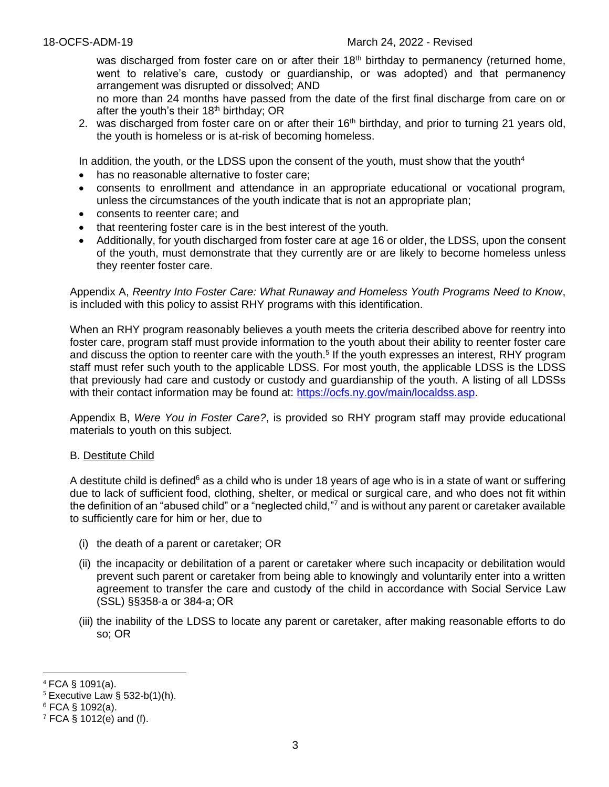was discharged from foster care on or after their 18<sup>th</sup> birthday to permanency (returned home, went to relative's care, custody or guardianship, or was adopted) and that permanency arrangement was disrupted or dissolved; AND

no more than 24 months have passed from the date of the first final discharge from care on or after the youth's their  $18<sup>th</sup>$  birthday; OR

2. was discharged from foster care on or after their  $16<sup>th</sup>$  birthday, and prior to turning 21 years old, the youth is homeless or is at-risk of becoming homeless.

In addition, the youth, or the LDSS upon the consent of the youth, must show that the youth<sup>4</sup>

- has no reasonable alternative to foster care;
- consents to enrollment and attendance in an appropriate educational or vocational program, unless the circumstances of the youth indicate that is not an appropriate plan;
- consents to reenter care; and
- that reentering foster care is in the best interest of the youth.
- Additionally, for youth discharged from foster care at age 16 or older, the LDSS, upon the consent of the youth, must demonstrate that they currently are or are likely to become homeless unless they reenter foster care.

Appendix A, *Reentry Into Foster Care: What Runaway and Homeless Youth Programs Need to Know*, is included with this policy to assist RHY programs with this identification.

When an RHY program reasonably believes a youth meets the criteria described above for reentry into foster care, program staff must provide information to the youth about their ability to reenter foster care and discuss the option to reenter care with the youth.<sup>5</sup> If the youth expresses an interest, RHY program staff must refer such youth to the applicable LDSS. For most youth, the applicable LDSS is the LDSS that previously had care and custody or custody and guardianship of the youth. A listing of all LDSSs with their contact information may be found at: [https://ocfs.ny.gov/main/localdss.asp.](https://ocfs.ny.gov/main/localdss.asp)

Appendix B, *Were You in Foster Care?*, is provided so RHY program staff may provide educational materials to youth on this subject.

### B. Destitute Child

A destitute child is defined<sup>6</sup> as a child who is under 18 years of age who is in a state of want or suffering due to lack of sufficient food, clothing, shelter, or medical or surgical care, and who does not fit within the definition of an "abused child" or a "neglected child,"<sup>7</sup> and is without any parent or caretaker available to sufficiently care for him or her, due to

- (i) the death of a parent or caretaker; OR
- (ii) the incapacity or debilitation of a parent or caretaker where such incapacity or debilitation would prevent such parent or caretaker from being able to knowingly and voluntarily enter into a written agreement to transfer the care and custody of the child in accordance with Social Service Law (SSL) §§358-a or 384-a; OR
- (iii) the inability of the LDSS to locate any parent or caretaker, after making reasonable efforts to do so; OR

 $4$  FCA § 1091(a).

 $5$  Executive Law § 532-b(1)(h).

<sup>6</sup> FCA § 1092(a).

 $7$  FCA § 1012(e) and (f).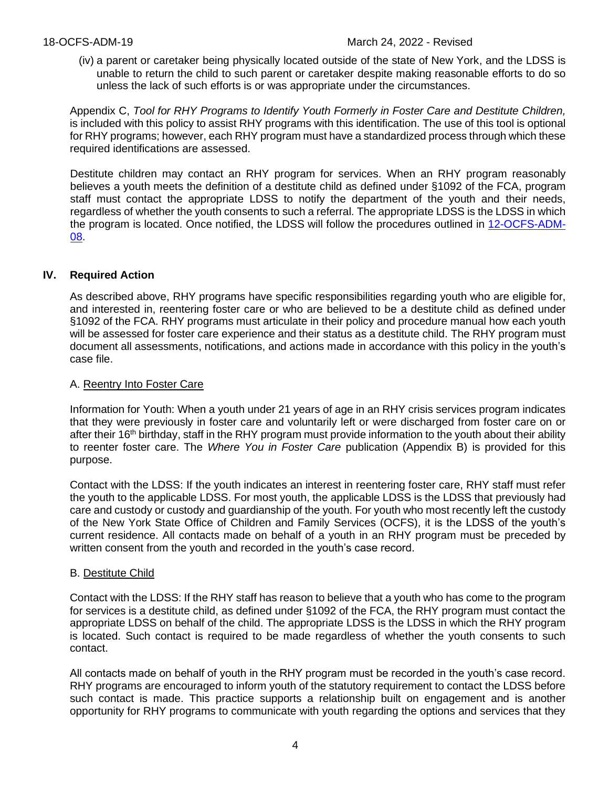(iv) a parent or caretaker being physically located outside of the state of New York, and the LDSS is unable to return the child to such parent or caretaker despite making reasonable efforts to do so unless the lack of such efforts is or was appropriate under the circumstances.

Appendix C, *Tool for RHY Programs to Identify Youth Formerly in Foster Care and Destitute Children,* is included with this policy to assist RHY programs with this identification. The use of this tool is optional for RHY programs; however, each RHY program must have a standardized process through which these required identifications are assessed.

Destitute children may contact an RHY program for services. When an RHY program reasonably believes a youth meets the definition of a destitute child as defined under §1092 of the FCA, program staff must contact the appropriate LDSS to notify the department of the youth and their needs, regardless of whether the youth consents to such a referral. The appropriate LDSS is the LDSS in which the program is located. Once notified, the LDSS will follow the procedures outlined in [12-OCFS-ADM-](https://ocfs.ny.gov/main/policies/external/OCFS_2012/ADMs/12-OCFS-ADM-08%20Destitute%20Child%20Placement%20Procedures%20and%20Guidelines.pdf)[08.](https://ocfs.ny.gov/main/policies/external/OCFS_2012/ADMs/12-OCFS-ADM-08%20Destitute%20Child%20Placement%20Procedures%20and%20Guidelines.pdf)

# **IV. Required Action**

As described above, RHY programs have specific responsibilities regarding youth who are eligible for, and interested in, reentering foster care or who are believed to be a destitute child as defined under §1092 of the FCA. RHY programs must articulate in their policy and procedure manual how each youth will be assessed for foster care experience and their status as a destitute child. The RHY program must document all assessments, notifications, and actions made in accordance with this policy in the youth's case file.

### A. Reentry Into Foster Care

Information for Youth: When a youth under 21 years of age in an RHY crisis services program indicates that they were previously in foster care and voluntarily left or were discharged from foster care on or after their 16<sup>th</sup> birthday, staff in the RHY program must provide information to the youth about their ability to reenter foster care. The *Where You in Foster Care* publication (Appendix B) is provided for this purpose.

Contact with the LDSS: If the youth indicates an interest in reentering foster care, RHY staff must refer the youth to the applicable LDSS. For most youth, the applicable LDSS is the LDSS that previously had care and custody or custody and guardianship of the youth. For youth who most recently left the custody of the New York State Office of Children and Family Services (OCFS), it is the LDSS of the youth's current residence. All contacts made on behalf of a youth in an RHY program must be preceded by written consent from the youth and recorded in the youth's case record.

### B. Destitute Child

Contact with the LDSS: If the RHY staff has reason to believe that a youth who has come to the program for services is a destitute child, as defined under §1092 of the FCA, the RHY program must contact the appropriate LDSS on behalf of the child. The appropriate LDSS is the LDSS in which the RHY program is located. Such contact is required to be made regardless of whether the youth consents to such contact.

All contacts made on behalf of youth in the RHY program must be recorded in the youth's case record. RHY programs are encouraged to inform youth of the statutory requirement to contact the LDSS before such contact is made. This practice supports a relationship built on engagement and is another opportunity for RHY programs to communicate with youth regarding the options and services that they